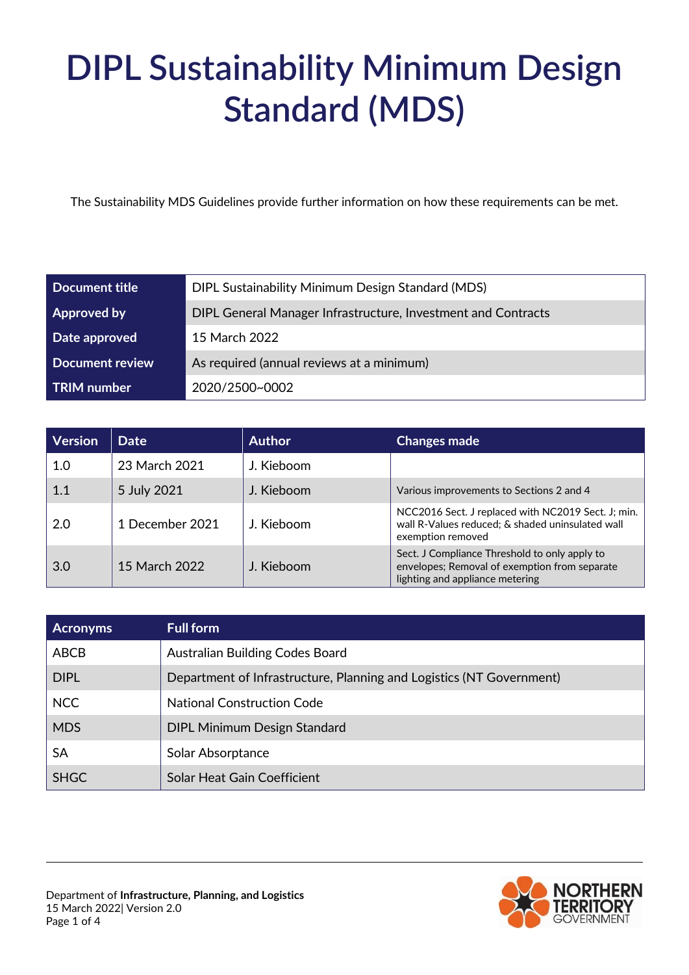# **DIPL Sustainability Minimum Design Standard (MDS)**

The Sustainability MDS Guidelines provide further information on how these requirements can be met.

| Document title         | DIPL Sustainability Minimum Design Standard (MDS)             |  |
|------------------------|---------------------------------------------------------------|--|
| <b>Approved by</b>     | DIPL General Manager Infrastructure, Investment and Contracts |  |
| Date approved          | 15 March 2022                                                 |  |
| <b>Document review</b> | As required (annual reviews at a minimum)                     |  |
| <b>TRIM</b> number     | 2020/2500~0002                                                |  |

| <b>Version</b> | <b>Date</b>     | <b>Author</b> | <b>Changes made</b>                                                                                                               |
|----------------|-----------------|---------------|-----------------------------------------------------------------------------------------------------------------------------------|
| 1.0            | 23 March 2021   | J. Kieboom    |                                                                                                                                   |
| 1.1            | 5 July 2021     | J. Kieboom    | Various improvements to Sections 2 and 4                                                                                          |
| 2.0            | 1 December 2021 | J. Kieboom    | NCC2016 Sect. J replaced with NC2019 Sect. J; min.<br>wall R-Values reduced; & shaded uninsulated wall<br>exemption removed       |
| 3.0            | 15 March 2022   | J. Kieboom    | Sect. J Compliance Threshold to only apply to<br>envelopes; Removal of exemption from separate<br>lighting and appliance metering |

| <b>Acronyms</b> | <b>Full form</b>                                                     |
|-----------------|----------------------------------------------------------------------|
| ABCB            | Australian Building Codes Board                                      |
| <b>DIPL</b>     | Department of Infrastructure, Planning and Logistics (NT Government) |
| <b>NCC</b>      | <b>National Construction Code</b>                                    |
| <b>MDS</b>      | <b>DIPL Minimum Design Standard</b>                                  |
| <b>SA</b>       | Solar Absorptance                                                    |
| <b>SHGC</b>     | Solar Heat Gain Coefficient                                          |

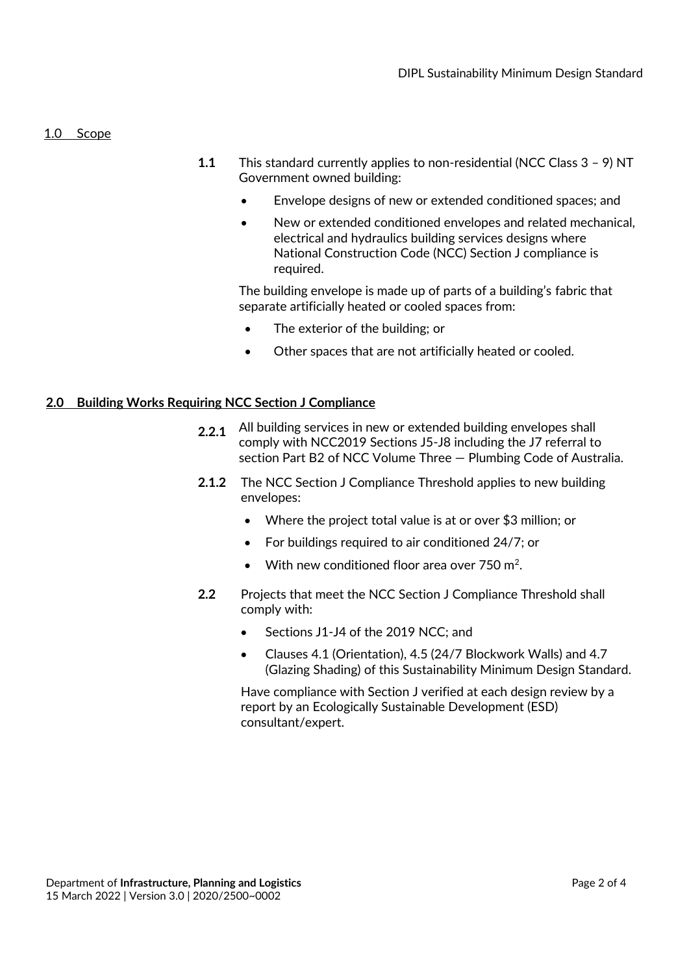#### 1.0 Scope

- **1.1** This standard currently applies to non-residential (NCC Class 3 9) NT Government owned building:
	- Envelope designs of new or extended conditioned spaces; and
	- New or extended conditioned envelopes and related mechanical, electrical and hydraulics building services designs where National Construction Code (NCC) Section J compliance is required.

The building envelope is made up of parts of a building's fabric that separate artificially heated or cooled spaces from:

- The exterior of the building; or
- Other spaces that are not artificially heated or cooled.

#### **2.0 Building Works Requiring NCC Section J Compliance**

- 2.2.1 All building services in new or extended building envelopes shall comply with NCC2019 Sections J5-J8 including the J7 referral to section Part B2 of NCC Volume Three — Plumbing Code of Australia.
- **2.1.2** The NCC Section J Compliance Threshold applies to new building envelopes:
	- Where the project total value is at or over \$3 million; or
	- For buildings required to air conditioned 24/7; or
	- With new conditioned floor area over 750 m<sup>2</sup>.
- **2.2** Projects that meet the NCC Section J Compliance Threshold shall comply with:
	- Sections J1-J4 of the 2019 NCC; and
	- Clauses 4.1 (Orientation), 4.5 (24/7 Blockwork Walls) and 4.7 (Glazing Shading) of this Sustainability Minimum Design Standard.

Have compliance with Section J verified at each design review by a report by an Ecologically Sustainable Development (ESD) consultant/expert.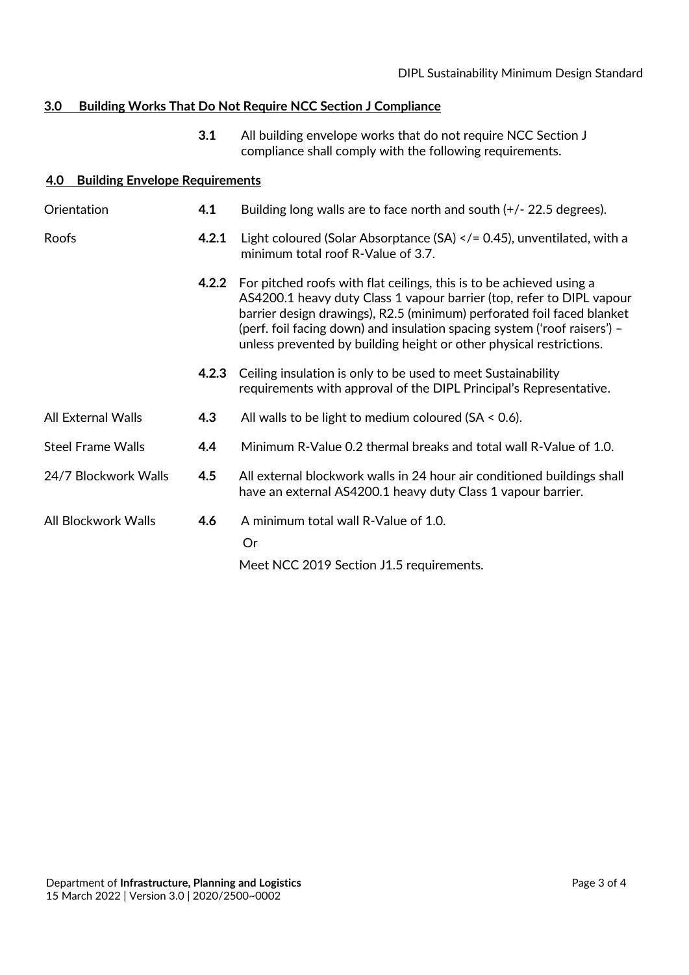## **3.0 Building Works That Do Not Require NCC Section J Compliance**

**3.1** All building envelope works that do not require NCC Section J compliance shall comply with the following requirements.

### **4.0 Building Envelope Requirements**

| Orientation              | 4.1   | Building long walls are to face north and south $(+/- 22.5$ degrees).                                                                                                                                                                                                                                                                                                       |
|--------------------------|-------|-----------------------------------------------------------------------------------------------------------------------------------------------------------------------------------------------------------------------------------------------------------------------------------------------------------------------------------------------------------------------------|
| Roofs                    | 4.2.1 | Light coloured (Solar Absorptance (SA) $\lt/$ = 0.45), unventilated, with a<br>minimum total roof R-Value of 3.7.                                                                                                                                                                                                                                                           |
|                          | 4.2.2 | For pitched roofs with flat ceilings, this is to be achieved using a<br>AS4200.1 heavy duty Class 1 vapour barrier (top, refer to DIPL vapour<br>barrier design drawings), R2.5 (minimum) perforated foil faced blanket<br>(perf. foil facing down) and insulation spacing system ('roof raisers') –<br>unless prevented by building height or other physical restrictions. |
|                          | 4.2.3 | Ceiling insulation is only to be used to meet Sustainability<br>requirements with approval of the DIPL Principal's Representative.                                                                                                                                                                                                                                          |
| All External Walls       | 4.3   | All walls to be light to medium coloured ( $SA < 0.6$ ).                                                                                                                                                                                                                                                                                                                    |
| <b>Steel Frame Walls</b> | 4.4   | Minimum R-Value 0.2 thermal breaks and total wall R-Value of 1.0.                                                                                                                                                                                                                                                                                                           |
| 24/7 Blockwork Walls     | 4.5   | All external blockwork walls in 24 hour air conditioned buildings shall<br>have an external AS4200.1 heavy duty Class 1 vapour barrier.                                                                                                                                                                                                                                     |
| All Blockwork Walls      | 4.6   | A minimum total wall R-Value of 1.0.<br>Or<br>Meet NCC 2019 Section J1.5 requirements.                                                                                                                                                                                                                                                                                      |